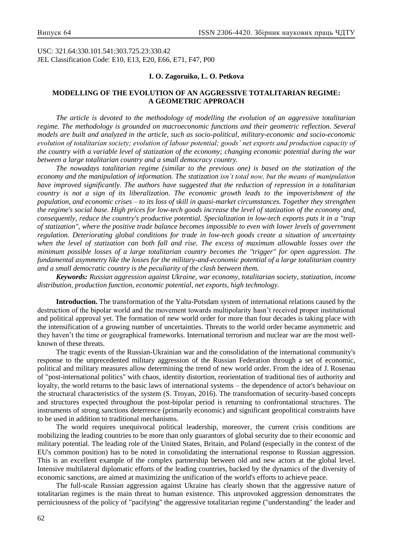USC: 321.64:330.101.541:303.725.23:330.42 JEL Classification Code: E10, E13, E20, E66, E71, F47, P00

### **I. O. Zagoruiko, L. O. Petkova**

# **MODELLING OF THE EVOLUTION OF AN AGGRESSIVE TOTALITARIAN REGIME: A GEOMETRIC APPROACH**

*The article is devoted to the methodology of modelling the evolution of an aggressive totalitarian regime. The methodology is grounded on macroeconomic functions and their geometric reflection. Several models are built and analyzed in the article, such as socio-political, military-economic and socio-economic evolution of totalitarian society; evolution of labour potential; goods' net exports and production capacity of the country with a variable level of statization of the economy; changing economic potential during the war between a large totalitarian country and a small democracy country.*

*The nowadays totalitarian regime (similar to the previous one) is based on the statization of the economy and the manipulation of information. The statization isn't total now, but the means of manipulation have improved significantly. The authors have suggested that the reduction of repression in a totalitarian country is not a sign of its liberalization. The economic growth leads to the impoverishment of the population, and economic crises – to its loss of skill in quasi-market circumstances. Together they strengthen the regime's social base. High prices for low-tech goods increase the level of statization of the economy and, consequently, reduce the country's productive potential. Specialization in low-tech exports puts it in a "trap of statization", where the positive trade balance becomes impossible to even with lower levels of government regulation. Deteriorating global conditions for trade in low-tech goods create a situation of uncertainty when the level of statization can both fall and rise. The excess of maximum allowable losses over the minimum possible losses of a large totalitarian country becomes the "trigger" for open aggression. The fundamental asymmetry like the losses for the military-and-economic potential of a large totalitarian country and a small democratic country is the peculiarity of the clash between them.*

*Keywords: Russian aggression against Ukraine, war economy, totalitarian society, statization, income distribution, production function, economic potential, net exports, high technology.*

**Introduction.** The transformation of the Yalta-Potsdam system of international relations caused by the destruction of the bipolar world and the movement towards multipolarity hasn't received proper institutional and political approval yet. The formation of new world order for more than four decades is taking place with the intensification of a growing number of uncertainties. Threats to the world order became asymmetric and they haven't the time or geographical frameworks. International terrorism and nuclear war are the most wellknown of these threats.

The tragic events of the Russian-Ukrainian war and the consolidation of the international community's response to the unprecedented military aggression of the Russian Federation through a set of economic, political and military measures allow determining the trend of new world order. From the idea of J. Rosenau of "post-international politics" with chaos, identity distortion, reorientation of traditional ties of authority and loyalty, the world returns to the basic laws of international systems – the dependence of actor's behaviour on the structural characteristics of the system (S. Troyan, 2016). The transformation of security-based concepts and structures expected throughout the post-bipolar period is returning to confrontational structures. The instruments of strong sanctions deterrence (primarily economic) and significant geopolitical constraints have to be used in addition to traditional mechanisms.

The world requires unequivocal political leadership, moreover, the current crisis conditions are mobilizing the leading countries to be more than only guarantors of global security due to their economic and military potential. The leading role of the United States, Britain, and Poland (especially in the context of the EU's common position) has to be noted in consolidating the international response to Russian aggression. This is an excellent example of the complex partnership between old and new actors at the global level. Intensive multilateral diplomatic efforts of the leading countries, backed by the dynamics of the diversity of economic sanctions, are aimed at maximizing the unification of the world's efforts to achieve peace.

The full-scale Russian aggression against Ukraine has clearly shown that the aggressive nature of totalitarian regimes is the main threat to human existence. This unprovoked aggression demonstrates the perniciousness of the policy of "pacifying" the aggressive totalitarian regime ("understanding" the leader and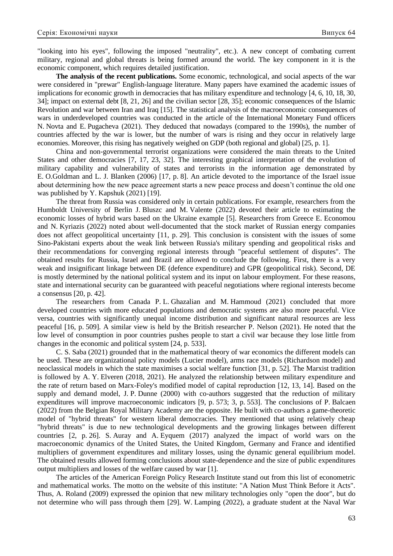"looking into his eyes", following the imposed "neutrality", etc.). A new concept of combating current military, regional and global threats is being formed around the world. The key component in it is the economic component, which requires detailed justification.

**The analysis of the recent publications.** Some economic, technological, and social aspects of the war were considered in "prewar" English-language literature. Many papers have examined the academic issues of implications for economic growth in democracies that has military expenditure and technology [4, 6, 10, 18, 30, 34]; impact on external debt [8, 21, 26] and the civilian sector [28, 35]; economic consequences of the Islamic Revolution and war between Iran and Iraq [15]. The statistical analysis of the macroeconomic consequences of wars in underdeveloped countries was conducted in the article of the International Monetary Fund officers N. Novta and E. Pugacheva (2021). They deduced that nowadays (compared to the 1990s), the number of countries affected by the war is lower, but the number of wars is rising and they occur in relatively large economies. Moreover, this rising has negatively weighed on GDP (both regional and global) [25, p. 1].

China and non-governmental terrorist organizations were considered the main threats to the United States and other democracies [7, 17, 23, 32]. The interesting graphical interpretation of the evolution of military capability and vulnerability of states and terrorists in the information age demonstrated by E. O.Goldman and L. J. Blanken (2006) [17, p. 8]. An article devoted to the importance of the Israel issue about determining how the new peace agreement starts a new peace process and doesn't continue the old one was published by Y. Kapshuk (2021) [19].

The threat from Russia was considered only in certain publications. For example, researchers from the Humboldt University of Berlin J. Bluszc and M. Valente (2022) devoted their article to estimating the economic losses of hybrid wars based on the Ukraine example [5]. Researchers from Greece E. Economou and N. Kyriazis (2022) noted about well-documented that the stock market of Russian energy companies does not affect geopolitical uncertainty [11, p. 29]. This conclusion is consistent with the issues of some Sino-Pakistani experts about the weak link between Russia's military spending and geopolitical risks and their recommendations for converging regional interests through "peaceful settlement of disputes". The obtained results for Russia, Israel and Brazil are allowed to conclude the following. First, there is a very weak and insignificant linkage between DE (defence expenditure) and GPR (geopolitical risk). Second, DE is mostly determined by the national political system and its input on labour employment. For these reasons, state and international security can be guaranteed with peaceful negotiations where regional interests become a consensus [20, p. 42].

The researchers from Canada P. L. Ghazalian and M. Hammoud (2021) concluded that more developed countries with more educated populations and democratic systems are also more peaceful. Vice versa, countries with significantly unequal income distribution and significant natural resources are less peaceful [16, p. 509]. A similar view is held by the British researcher P. Nelson (2021). He noted that the low level of consumption in poor countries pushes people to start a civil war because they lose little from changes in the economic and political system [24, p. 533].

C. S. Saba (2021) grounded that in the mathematical theory of war economics the different models can be used. These are organizational policy models (Lucier model), arms race models (Richardson model) and neoclassical models in which the state maximises a social welfare function [31, p. 52]. The Marxist tradition is followed by A. Y. Elveren (2018, 2021). He analyzed the relationship between military expenditure and the rate of return based on Marx-Foley's modified model of capital reproduction [12, 13, 14]. Based on the supply and demand model, J. P. Dunne (2000) with co-authors suggested that the reduction of military expenditures will improve macroeconomic indicators [9, p. 573; 3, p. 553]. The conclusions of P. Balcaen (2022) from the Belgian Royal Military Academy are the opposite. He built with co-authors a game-theoretic model of "hybrid threats" for western liberal democracies. They mentioned that using relatively cheap "hybrid threats" is due to new technological developments and the growing linkages between different countries [2, p. 26]. S. Auray and A. Eyquem (2017) analyzed the impact of world wars on the macroeconomic dynamics of the United States, the United Kingdom, Germany and France and identified multipliers of government expenditures and military losses, using the dynamic general equilibrium model. The obtained results allowed forming conclusions about state-dependence and the size of public expenditures output multipliers and losses of the welfare caused by war [1].

The articles of the American Foreign Policy Research Institute stand out from this list of econometric and mathematical works. The motto on the website of this institute: "A Nation Must Think Before it Acts". Thus, A. Roland (2009) expressed the opinion that new military technologies only "open the door", but do not determine who will pass through them [29]. W. Lamping (2022), a graduate student at the Naval War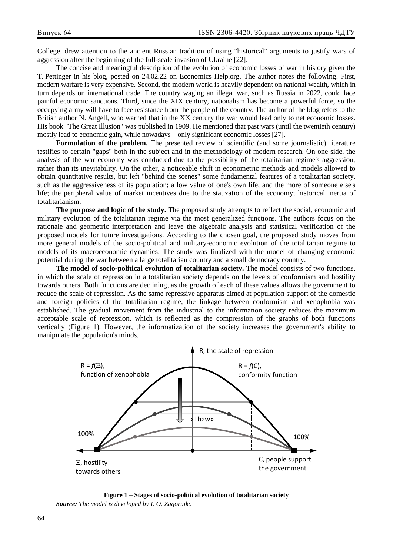College, drew attention to the ancient Russian tradition of using "historical" arguments to justify wars of aggression after the beginning of the full-scale invasion of Ukraine [22].

The concise and meaningful description of the evolution of economic losses of war in history given the T. Pettinger in his blog, posted on 24.02.22 on Economics Help.org. The author notes the following. First, modern warfare is very expensive. Second, the modern world is heavily dependent on national wealth, which in turn depends on international trade. The country waging an illegal war, such as Russia in 2022, could face painful economic sanctions. Third, since the XIX century, nationalism has become a powerful force, so the occupying army will have to face resistance from the people of the country. The author of the blog refers to the British author N. Angell, who warned that in the XX century the war would lead only to net economic losses. His book "The Great Illusion" was published in 1909. He mentioned that past wars (until the twentieth century) mostly lead to economic gain, while nowadays – only significant economic losses [27].

**Formulation of the problem.** The presented review of scientific (and some journalistic) literature testifies to certain "gaps" both in the subject and in the methodology of modern research. On one side, the analysis of the war economy was conducted due to the possibility of the totalitarian regime's aggression, rather than its inevitability. On the other, a noticeable shift in econometric methods and models allowed to obtain quantitative results, but left "behind the scenes" some fundamental features of a totalitarian society, such as the aggressiveness of its population; a low value of one's own life, and the more of someone else's life; the peripheral value of market incentives due to the statization of the economy; historical inertia of totalitarianism.

**The purpose and logic of the study.** The proposed study attempts to reflect the social, economic and military evolution of the totalitarian regime via the most generalized functions. The authors focus on the rationale and geometric interpretation and leave the algebraic analysis and statistical verification of the proposed models for future investigations. According to the chosen goal, the proposed study moves from more general models of the socio-political and military-economic evolution of the totalitarian regime to models of its macroeconomic dynamics. The study was finalized with the model of changing economic potential during the war between a large totalitarian country and a small democracy country.

**The model of socio-political evolution of totalitarian society.** The model consists of two functions, in which the scale of repression in a totalitarian society depends on the levels of conformism and hostility towards others. Both functions are declining, as the growth of each of these values allows the government to reduce the scale of repression. As the same repressive apparatus aimed at population support of the domestic and foreign policies of the totalitarian regime, the linkage between conformism and xenophobia was established. The gradual movement from the industrial to the information society reduces the maximum acceptable scale of repression, which is reflected as the compression of the graphs of both functions vertically (Figure 1). However, the informatization of the society increases the government's ability to manipulate the population's minds.



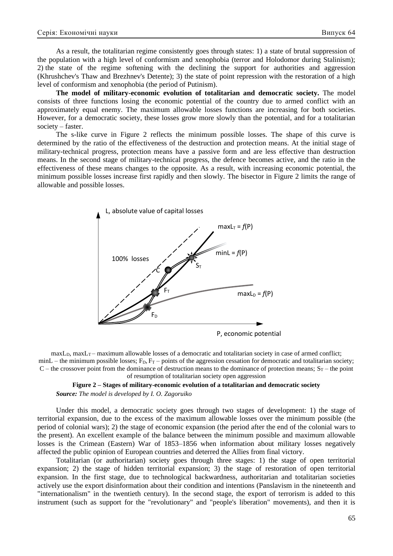As a result, the totalitarian regime consistently goes through states: 1) a state of brutal suppression of the population with a high level of conformism and xenophobia (terror and Holodomor during Stalinism); 2) the state of the regime softening with the declining the support for authorities and aggression (Khrushchev's Thaw and Brezhnev's Detente); 3) the state of point repression with the restoration of a high level of conformism and xenophobia (the period of Putinism).

**The model of military-economic evolution of totalitarian and democratic society.** The model consists of three functions losing the economic potential of the country due to armed conflict with an approximately equal enemy. The maximum allowable losses functions are increasing for both societies. However, for a democratic society, these losses grow more slowly than the potential, and for a totalitarian society – faster.

The s-like curve in Figure 2 reflects the minimum possible losses. The shape of this curve is determined by the ratio of the effectiveness of the destruction and protection means. At the initial stage of military-technical progress, protection means have a passive form and are less effective than destruction means. In the second stage of military-technical progress, the defence becomes active, and the ratio in the effectiveness of these means changes to the opposite. As a result, with increasing economic potential, the minimum possible losses increase first rapidly and then slowly. The bisector in Figure 2 limits the range of allowable and possible losses.



 $maxL_D$ ,  $maxL_T$  – maximum allowable losses of a democratic and totalitarian society in case of armed conflict; minL – the minimum possible losses;  $F_D$ ,  $F_T$  – points of the aggression cessation for democratic and totalitarian society; C – the crossover point from the dominance of destruction means to the dominance of protection means;  $S_T$  – the point of resumption of totalitarian society open aggression

**Figure 2 – Stages of military-economic evolution of a totalitarian and democratic society** *Source: The model is developed by I. O. Zagoruiko* 

Under this model, a democratic society goes through two stages of development: 1) the stage of territorial expansion, due to the excess of the maximum allowable losses over the minimum possible (the period of colonial wars); 2) the stage of economic expansion (the period after the end of the colonial wars to the present). An excellent example of the balance between the minimum possible and maximum allowable losses is the Crimean (Eastern) War of 1853–1856 when information about military losses negatively affected the public opinion of European countries and deterred the Allies from final victory.

Totalitarian (or authoritarian) society goes through three stages: 1) the stage of open territorial expansion; 2) the stage of hidden territorial expansion; 3) the stage of restoration of open territorial expansion. In the first stage, due to technological backwardness, authoritarian and totalitarian societies actively use the export disinformation about their condition and intentions (Panslavism in the nineteenth and "internationalism" in the twentieth century). In the second stage, the export of terrorism is added to this instrument (such as support for the "revolutionary" and "people's liberation" movements), and then it is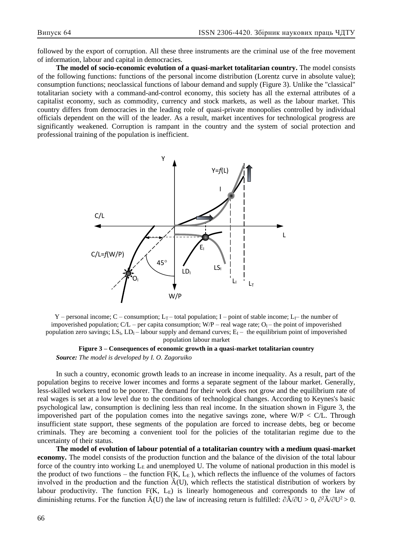followed by the export of corruption. All these three instruments are the criminal use of the free movement of information, labour and capital in democracies.

**The model of socio-economic evolution of a quasi-market totalitarian country.** The model consists of the following functions: functions of the personal income distribution (Lorentz curve in absolute value); consumption functions; neoclassical functions of labour demand and supply (Figure 3). Unlike the "classical" totalitarian society with a command-and-control economy, this society has all the external attributes of a capitalist economy, such as commodity, currency and stock markets, as well as the labour market. This country differs from democracies in the leading role of quasi-private monopolies controlled by individual officials dependent on the will of the leader. As a result, market incentives for technological progress are significantly weakened. Corruption is rampant in the country and the system of social protection and professional training of the population is inefficient.



Y – personal income; C – consumption; L<sub>T</sub> – total population; I – point of stable income; L<sub>I</sub>– the number of impoverished population;  $C/L$  – per capita consumption;  $W/P$  – real wage rate;  $O<sub>I</sub>$  – the point of impoverished population zero savings;  $LS_L$ ,  $LD_l$  – labour supply and demand curves;  $E_l$  – the equilibrium point of impoverished population labour market

## **Figure 3 – Consequences of economic growth in a quasi-market totalitarian country** *Source: The model is developed by I. O. Zagoruiko*

In such a country, economic growth leads to an increase in income inequality. As a result, part of the population begins to receive lower incomes and forms a separate segment of the labour market. Generally, less-skilled workers tend to be poorer. The demand for their work does not grow and the equilibrium rate of real wages is set at a low level due to the conditions of technological changes. According to Keynes's basic psychological law, consumption is declining less than real income. In the situation shown in Figure 3, the impoverished part of the population comes into the negative savings zone, where  $W/P \leq CL$ . Through insufficient state support, these segments of the population are forced to increase debts, beg or become criminals. They are becoming a convenient tool for the policies of the totalitarian regime due to the uncertainty of their status.

**The model of evolution of labour potential of a totalitarian country with a medium quasi-market economy.** The model consists of the production function and the balance of the division of the total labour force of the country into working  $L<sub>E</sub>$  and unemployed U. The volume of national production in this model is the product of two functions – the function  $F(K, L_E)$ , which reflects the influence of the volumes of factors involved in the production and the function  $\bar{A}(U)$ , which reflects the statistical distribution of workers by labour productivity. The function  $F(K, L_E)$  is linearly homogeneous and corresponds to the law of diminishing returns. For the function  $\bar{A}(U)$  the law of increasing return is fulfilled:  $\partial \bar{A}/\partial U > 0$ ,  $\partial^2 \bar{A}/\partial U^2 > 0$ .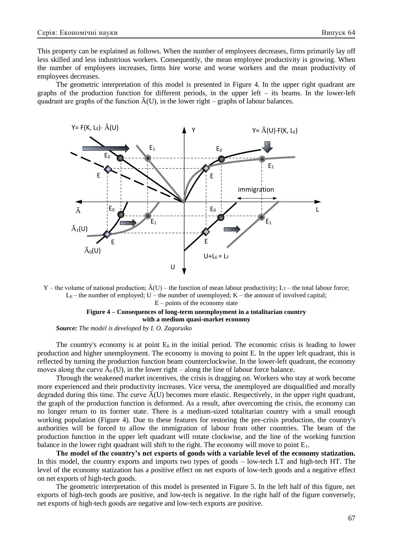This property can be explained as follows. When the number of employees decreases, firms primarily lay off less skilled and less industrious workers. Consequently, the mean employee productivity is growing. When the number of employees increases, firms hire worse and worse workers and the mean productivity of employees decreases.

The geometric interpretation of this model is presented in Figure 4. In the upper right quadrant are graphs of the production function for different periods, in the upper left – its beams. In the lower-left quadrant are graphs of the function  $\bar{A}(U)$ , in the lower right – graphs of labour balances.



Y – the volume of national production;  $\bar{A}(U)$  – the function of mean labour productivity;  $L_T$  – the total labour force;  $L<sub>E</sub>$  – the number of employed; U – the number of unemployed; K – the amount of involved capital;  $E$  – points of the economy state

# **Figure 4 – Consequences of long-term unemployment in a totalitarian country with a medium quasi-market economy**

*Source: The model is developed by I. O. Zagoruiko*

The country's economy is at point  $E_0$  in the initial period. The economic crisis is leading to lower production and higher unemployment. The economy is moving to point E. In the upper left quadrant, this is reflected by turning the production function beam counterclockwise. In the lower-left quadrant, the economy moves along the curve  $\bar{A}_0(U)$ , in the lower right – along the line of labour force balance.

Through the weakened market incentives, the crisis is dragging on. Workers who stay at work become more experienced and their productivity increases. Vice versa, the unemployed are disqualified and morally degraded during this time. The curve  $\bar{A}(U)$  becomes more elastic. Respectively, in the upper right quadrant, the graph of the production function is deformed. As a result, after overcoming the crisis, the economy can no longer return to its former state. There is a medium-sized totalitarian country with a small enough working population (Figure 4). Due to these features for restoring the pre-crisis production, the country's authorities will be forced to allow the immigration of labour from other countries. The beam of the production function in the upper left quadrant will rotate clockwise, and the line of the working function balance in the lower right quadrant will shift to the right. The economy will move to point  $E_1$ .

**The model of the country's net exports of goods with a variable level of the economy statization.**  In this model, the country exports and imports two types of goods – low-tech LT and high-tech HT. The level of the economy statization has a positive effect on net exports of low-tech goods and a negative effect on net exports of high-tech goods.

The geometric interpretation of this model is presented in Figure 5. In the left half of this figure, net exports of high-tech goods are positive, and low-tech is negative. In the right half of the figure conversely, net exports of high-tech goods are negative and low-tech exports are positive.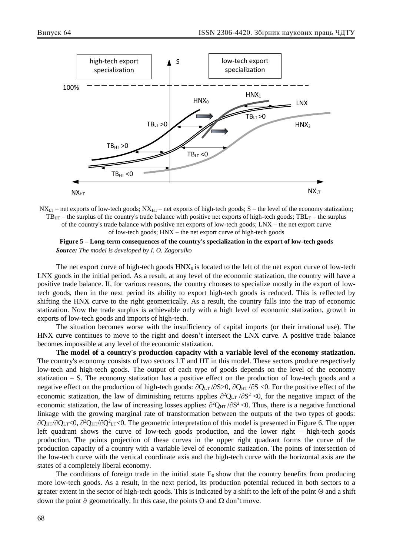

 $NX_{LT}$  – net exports of low-tech goods;  $NX_{HT}$  – net exports of high-tech goods; S – the level of the economy statization;  $TB_{HT}$  – the surplus of the country's trade balance with positive net exports of high-tech goods;  $TBL_T$  – the surplus of the country's trade balance with positive net exports of low-tech goods; LNX – the net export curve of low-tech goods; HNX – the net export curve of high-tech goods



The net export curve of high-tech goods  $HNX_0$  is located to the left of the net export curve of low-tech LNX goods in the initial period. As a result, at any level of the economic statization, the country will have a positive trade balance. If, for various reasons, the country chooses to specialize mostly in the export of lowtech goods, then in the next period its ability to export high-tech goods is reduced. This is reflected by shifting the HNX curve to the right geometrically. As a result, the country falls into the trap of economic statization. Now the trade surplus is achievable only with a high level of economic statization, growth in exports of low-tech goods and imports of high-tech.

The situation becomes worse with the insufficiency of capital imports (or their irrational use). The HNX curve continues to move to the right and doesn't intersect the LNX curve. A positive trade balance becomes impossible at any level of the economic statization.

**The model of a country's production capacity with a variable level of the economy statization.**  The country's economy consists of two sectors LT and HT in this model. These sectors produce respectively low-tech and high-tech goods. The output of each type of goods depends on the level of the economy statization – S. The economy statization has a positive effect on the production of low-tech goods and a negative effect on the production of high-tech goods:  $\partial Q_{LT}/\partial S$  >0,  $\partial Q_{HT}/\partial S$  <0. For the positive effect of the economic statization, the law of diminishing returns applies  $\partial^2 Q_{LT}/\partial S^2 < 0$ , for the negative impact of the economic statization, the law of increasing losses applies:  $\partial^2 Q_{HT}/\partial S^2$  <0. Thus, there is a negative functional linkage with the growing marginal rate of transformation between the outputs of the two types of goods:  $\partial Q_{HT}/\partial Q_{LT}$ <0,  $\partial^2 Q_{HT}/\partial Q^2_{LT}$ <0. The geometric interpretation of this model is presented in Figure 6. The upper left quadrant shows the curve of low-tech goods production, and the lower right – high-tech goods production. The points projection of these curves in the upper right quadrant forms the curve of the production capacity of a country with a variable level of economic statization. The points of intersection of the low-tech curve with the vertical coordinate axis and the high-tech curve with the horizontal axis are the states of a completely liberal economy.

The conditions of foreign trade in the initial state  $E_0$  show that the country benefits from producing more low-tech goods. As a result, in the next period, its production potential reduced in both sectors to a greater extent in the sector of high-tech goods. This is indicated by a shift to the left of the point  $\Theta$  and a shift down the point  $\vartheta$  geometrically. In this case, the points O and  $\Omega$  don't move.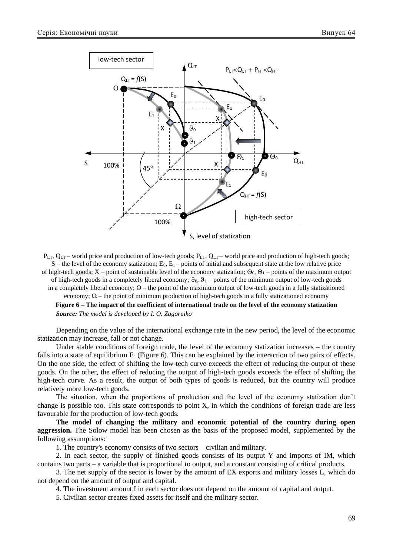

 $P_{LT}$ ,  $Q_{LT}$  – world price and production of low-tech goods;  $P_{LT}$ ,  $Q_{LT}$  – world price and production of high-tech goods;  $S$  – the level of the economy statization; E<sub>0</sub>, E<sub>1</sub> – points of initial and subsequent state at the low relative price of high-tech goods;  $X$  – point of sustainable level of the economy statization;  $\Theta_0$ ,  $\Theta_1$  – points of the maximum output of high-tech goods in a completely liberal economy;  $\vartheta_0$ ,  $\vartheta_1$  – points of the minimum output of low-tech goods in a completely liberal economy;  $O$  – the point of the maximum output of low-tech goods in a fully statizationed economy;  $\Omega$  – the point of minimum production of high-tech goods in a fully statizationed economy

**Figure 6 – The impact of the coefficient of international trade on the level of the economy statization** *Source: The model is developed by I. O. Zagoruiko* 

Depending on the value of the international exchange rate in the new period, the level of the economic statization may increase, fall or not change.

Under stable conditions of foreign trade, the level of the economy statization increases – the country falls into a state of equilibrium  $E_1$  (Figure 6). This can be explained by the interaction of two pairs of effects. On the one side, the effect of shifting the low-tech curve exceeds the effect of reducing the output of these goods. On the other, the effect of reducing the output of high-tech goods exceeds the effect of shifting the high-tech curve. As a result, the output of both types of goods is reduced, but the country will produce relatively more low-tech goods.

The situation, when the proportions of production and the level of the economy statization don't change is possible too. This state corresponds to point X, in which the conditions of foreign trade are less favourable for the production of low-tech goods.

**The model of changing the military and economic potential of the country during open aggression.** The Solow model has been chosen as the basis of the proposed model, supplemented by the following assumptions:

1. The country's economy consists of two sectors – civilian and military.

2. In each sector, the supply of finished goods consists of its output Y and imports of IM, which contains two parts – a variable that is proportional to output, and a constant consisting of critical products.

3. The net supply of the sector is lower by the amount of EX exports and military losses L, which do not depend on the amount of output and capital.

4. The investment amount I in each sector does not depend on the amount of capital and output.

5. Civilian sector creates fixed assets for itself and the military sector.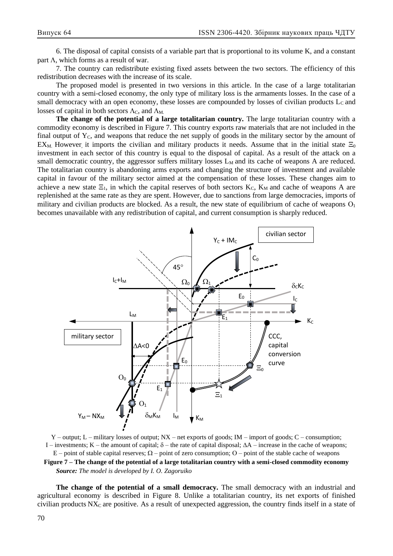6. The disposal of capital consists of a variable part that is proportional to its volume K, and a constant part  $\Lambda$ , which forms as a result of war.

7. The country can redistribute existing fixed assets between the two sectors. The efficiency of this redistribution decreases with the increase of its scale.

The proposed model is presented in two versions in this article. In the case of a large totalitarian country with a semi-closed economy, the only type of military loss is the armaments losses. In the case of a small democracy with an open economy, these losses are compounded by losses of civilian products  $L_c$  and losses of capital in both sectors  $\Lambda_{\rm C}$ , and  $\Lambda_{\rm M}$ .

**The change of the potential of a large totalitarian country.** The large totalitarian country with a commodity economy is described in Figure 7. This country exports raw materials that are not included in the final output of  $Y_c$ , and weapons that reduce the net supply of goods in the military sector by the amount of EX<sub>M.</sub> However, it imports the civilian and military products it needs. Assume that in the initial state  $\Xi_0$ investment in each sector of this country is equal to the disposal of capital. As a result of the attack on a small democratic country, the aggressor suffers military losses  $L_M$  and its cache of weapons A are reduced. The totalitarian country is abandoning arms exports and changing the structure of investment and available capital in favour of the military sector aimed at the compensation of these losses. These changes aim to achieve a new state  $\Xi_1$ , in which the capital reserves of both sectors K<sub>C</sub>, K<sub>M</sub> and cache of weapons A are replenished at the same rate as they are spent. However, due to sanctions from large democracies, imports of military and civilian products are blocked. As a result, the new state of equilibrium of cache of weapons  $O_1$ becomes unavailable with any redistribution of capital, and current consumption is sharply reduced.



 $Y$  – output;  $L$  – military losses of output;  $NX$  – net exports of goods;  $IM$  – import of goods;  $C$  – consumption; I – investments; K – the amount of capital;  $\delta$  – the rate of capital disposal;  $\Delta A$  – increase in the cache of weapons;  $E$  – point of stable capital reserves;  $\Omega$  – point of zero consumption; O – point of the stable cache of weapons **Figure 7 – The change of the potential of a large totalitarian country with a semi-closed commodity economy** *Source: The model is developed by I. O. Zagoruiko*

**The change of the potential of a small democracy.** The small democracy with an industrial and agricultural economy is described in Figure 8. Unlike a totalitarian country, its net exports of finished civilian products  $NX<sub>C</sub>$  are positive. As a result of unexpected aggression, the country finds itself in a state of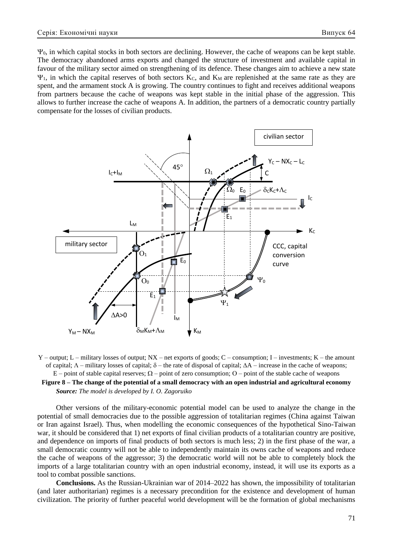$\Psi_0$ , in which capital stocks in both sectors are declining. However, the cache of weapons can be kept stable. The democracy abandoned arms exports and changed the structure of investment and available capital in favour of the military sector aimed on strengthening of its defence. These changes aim to achieve a new state  $\Psi_1$ , in which the capital reserves of both sectors K<sub>C</sub>, and K<sub>M</sub> are replenished at the same rate as they are spent, and the armament stock A is growing. The country continues to fight and receives additional weapons from partners because the cache of weapons was kept stable in the initial phase of the aggression. This allows to further increase the cache of weapons A. In addition, the partners of a democratic country partially compensate for the losses of civilian products.



 $Y$  – output; L – military losses of output; NX – net exports of goods; C – consumption; I – investments; K – the amount of capital;  $\Lambda$  – military losses of capital;  $\delta$  – the rate of disposal of capital;  $\Delta A$  – increase in the cache of weapons;  $E$  – point of stable capital reserves;  $\Omega$  – point of zero consumption;  $O$  – point of the stable cache of weapons **Figure 8 – The change of the potential of a small democracy with an open industrial and agricultural economy** *Source: The model is developed by I. O. Zagoruiko* 

Other versions of the military-economic potential model can be used to analyze the change in the potential of small democracies due to the possible aggression of totalitarian regimes (China against Taiwan or Iran against Israel). Thus, when modelling the economic consequences of the hypothetical Sino-Taiwan war, it should be considered that 1) net exports of final civilian products of a totalitarian country are positive, and dependence on imports of final products of both sectors is much less; 2) in the first phase of the war, a small democratic country will not be able to independently maintain its owns cache of weapons and reduce the cache of weapons of the aggressor; 3) the democratic world will not be able to completely block the imports of a large totalitarian country with an open industrial economy, instead, it will use its exports as a tool to combat possible sanctions.

**Conclusions.** As the Russian-Ukrainian war of 2014–2022 has shown, the impossibility of totalitarian (and later authoritarian) regimes is a necessary precondition for the existence and development of human civilization. The priority of further peaceful world development will be the formation of global mechanisms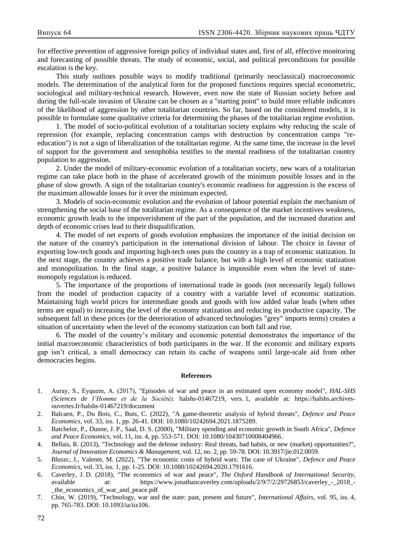for effective prevention of aggressive foreign policy of individual states and, first of all, effective monitoring and forecasting of possible threats. The study of economic, social, and political preconditions for possible escalation is the key.

This study outlines possible ways to modify traditional (primarily neoclassical) macroeconomic models. The determination of the analytical form for the proposed functions requires special econometric, sociological and military-technical research. However, even now the state of Russian society before and during the full-scale invasion of Ukraine can be chosen as a "starting point" to build more reliable indicators of the likelihood of aggression by other totalitarian countries. So far, based on the considered models, it is possible to formulate some qualitative criteria for determining the phases of the totalitarian regime evolution.

1. The model of socio-political evolution of a totalitarian society explains why reducing the scale of repression (for example, replacing concentration camps with destruction by concentration camps "reeducation") is not a sign of liberalization of the totalitarian regime. At the same time, the increase in the level of support for the government and xenophobia testifies to the mental readiness of the totalitarian country population to aggression.

2. Under the model of military-economic evolution of a totalitarian society, new wars of a totalitarian regime can take place both in the phase of accelerated growth of the minimum possible losses and in the phase of slow growth. A sign of the totalitarian country's economic readiness for aggression is the excess of the maximum allowable losses for it over the minimum expected.

3. Models of socio-economic evolution and the evolution of labour potential explain the mechanism of strengthening the social base of the totalitarian regime. As a consequence of the market incentives weakness, economic growth leads to the impoverishment of the part of the population, and the increased duration and depth of economic crises lead to their disqualification.

4. The model of net exports of goods evolution emphasizes the importance of the initial decision on the nature of the country's participation in the international division of labour. The choice in favour of exporting low-tech goods and importing high-tech ones puts the country in a trap of economic statization. In the next stage, the country achieves a positive trade balance, but with a high level of economic statization and monopolization. In the final stage, a positive balance is impossible even when the level of statemonopoly regulation is reduced.

5. The importance of the proportions of international trade in goods (not necessarily legal) follows from the model of production capacity of a country with a variable level of economic statization. Maintaining high world prices for intermediate goods and goods with low added value leads (when other terms are equal) to increasing the level of the economy statization and reducing its productive capacity. The subsequent fall in these prices (or the deterioration of advanced technologies "grey" imports terms) creates a situation of uncertainty when the level of the economy statization can both fall and rise.

6. The model of the country's military and economic potential demonstrates the importance of the initial macroeconomic characteristics of both participants in the war. If the economic and military exports gap isn't critical, a small democracy can retain its cache of weapons until large-scale aid from other democracies begins.

#### **References**

- 1. Auray, S., Eyquem, А. (2017), "Episodes of war and peace in an estimated open economy model", *HAL-SHS (Sciences de l'Homme et de la Société),* halshs-01467219, vers. 1, available at: [https://halshs.archives](https://halshs.archives-ouvertes.fr/halshs-01467219/document)[ouvertes.fr/halshs-01467219/document](https://halshs.archives-ouvertes.fr/halshs-01467219/document)
- 2. Balcaen, P., Du Bois, C., Buts, C. (2022), "A game-theoretic analysis of hybrid threats", *Defence and Peace Economics,* vol. 33, iss. 1, pp. 26-41. DOI: [10.1080/10242694.2021.1875289.](https://doi.org/10.1080/10242694.2021.1875289)
- 3. Batchelor, P., Dunne, J. P., Saal, D. S. (2000), "Military spending and economic growth in South Africa", *Defence and Peace Economics,* vol. 11, iss. 4, pp. 553-571. DOI: [10.1080/10430710008404966.](https://doi.org/10.1080/10430710008404966)
- 4. Bellais, R. (2013), "Technology and the defense industry: Real threats, bad habits, or new (market) opportunities?", *Journal of Innovation Economics & Management*, vol. 12, no. 2, pp. 59-78. DOI: [10.3917/jie.012.0059.](https://doi.org/10.3917/jie.012.0059)
- 5. Bluszc, J., Valente, M. (2022), "The economic costs of hybrid wars: The case of Ukraine", *Defence and Peace Economics,* vol. 33, iss. 1, pp. 1-25. DOI: [10.1080/10242694.2020.1791616.](https://doi.org/10.1080/10242694.2020.1791616)
- 6. Caverley, J. D. (2018), "The economics of war and peace", *The Oxford Handbook of International Security*, available at: https://www.jonathancaverley.com/uploads/2/9/7/2/29726853/caverley - 2018 -[\\_the\\_economics\\_of\\_war\\_and\\_peace.pdf](https://www.jonathancaverley.com/uploads/2/9/7/2/29726853/caverley_-_2018_-_the_economics_of_war_and_peace.pdf)
- 7. Chin, W. (2019), "Technology, war and the state: past, present and future", *International Affairs*, vol. 95, iss. 4, pp. 765-783. DOI: [10.1093/ia/iiz106.](https://doi.org/10.1093/ia/iiz106)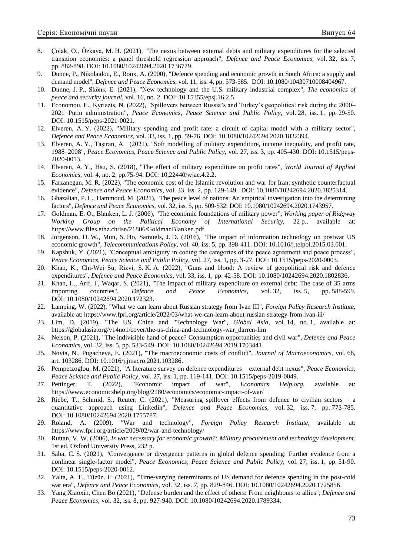- 8. Çolak, O., Özkaya, M. H. (2021), "The nexus between external debts and military expenditures for the selected transition economies: a panel threshold regression approach", *Defence and Peace Economics,* vol. 32, iss. 7, pp. 882-898. DOI: [10.1080/10242694.2020.1736779.](https://doi.org/10.1080/10242694.2020.1736779)
- 9. Dunne, P., Nikolaidou, E., Roux, A. (2000), "Defence spending and economic growth in South Africa: a supply and demand model", *Defence and Peace Economics*, vol. 11, iss. 4, pp. 573-585. DOI: [10.1080/10430710008404967.](https://doi.org/10.1080/10430710008404967)
- 10. Dunne, J. P., Sköns, E. (2021), "New technology and the U.S. military industrial complex", *The economics of peace and security journal,* vol. 16, no. 2. DOI: [10.15355/epsj.16.2.5.](http://dx.doi.org/10.15355/epsj.16.2.5)
- 11. Economou, E., Kyriazis, N. (2022), "Spillovers between Russia's and Turkey's geopolitical risk during the 2000– 2021 Putin administration", *Peace Economics, Peace Science and Public Policy,* vol. 28, iss. 1, pp. 29-50. DOI: [10.1515/peps-2021-0021.](https://doi.org/10.1515/peps-2021-0021)
- 12. Elveren, A. Y. (2022), "Military spending and profit rate: a circuit of capital model with a military sector", *Defence and Peace Economics,* vol. 33, iss. 1, pp. 59-76. DOI: [10.1080/10242694.2020.1832394.](https://doi.org/10.1080/10242694.2020.1832394)
- 13. Elveren, A. Y., Taşıran, A. (2021), "Soft modelling of military expenditure, income inequality, and profit rate, 1988–2008", *Peace Economics, Peace Science and Public Policy,* vol. 27, iss. 3, pp. 405-430. DOI: [10.1515/peps-](https://doi.org/10.1515/peps-2020-0013)[2020-0013.](https://doi.org/10.1515/peps-2020-0013)
- 14. Elveren, A. Y., Hsu, S. (2018), "The effect of military expenditure on profit rates", *World Journal of Applied Economics,* vol. 4, no. 2, pp.75-94. DOI: [10.22440/wjae.4.2.2.](https://doi.org/10.22440/wjae.4.2.2)
- 15. Farzanegan, M. R. (2022), "The economic cost of the Islamic revolution and war for Iran: synthetic counterfactual evidence", *Defence and Peace Economics,* vol. 33, iss. 2, pp. 129-149. DOI: [10.1080/10242694.2020.1825314.](https://doi.org/10.1080/10242694.2020.1825314)
- 16. Ghazalian, P. L., Hammoud, M. (2021), "The peace level of nations: An empirical investigation into the determining factors", *Defence and Peace Economics,* vol. 32, iss. 5, pp. 509-532. DOI: [10.1080/10242694.2020.1743957.](https://doi.org/10.1080/10242694.2020.1743957)
- 17. Goldman, Е. О., Blanken, L. J. (2006), "The economic foundations of military power", *Working paper of Ridgway Working Group on the Political Economy of International Security,* 22 p., available at: <https://www.files.ethz.ch/isn/21806/GoldmanBlanken.pdf>
- 18. Jorgenson, D. W., Mun, S. Ho, Samuels, J. D. (2016), "The impact of information technology on postwar US economic growth", *Telecommunications Policy,* vol. 40, iss. 5, pp. 398-411. DOI: [10.1016/j.telpol.2015.03.001.](https://doi.org/10.1016/j.telpol.2015.03.001)
- 19. Kapshuk, Y. (2021), "Сonceptual ambiguity in coding the categories of the peace agreement and peace process", *Peace Economics, Peace Science and Public Policy,* vol. 27, iss. 1, pp. 3-27. DOI: [10.1515/peps-2020-0003.](https://doi.org/10.1515/peps-2020-0003)
- 20. Khan, K., Chi-Wei Su, Rizvi, S. K. A. (2022), "Guns and blood: A review of geopolitical risk and defence expenditures", *Defence and Peace Economics,* vol. 33, iss. 1, pp. 42-58. DOI: [10.1080/10242694.2020.1802836.](https://doi.org/10.1080/10242694.2020.1802836)
- 21. Khan, L., Arif, I., Waqar, S. (2021), "The impact of military expenditure on external debt: The case of 35 arms importing countries", *Defence and Peace Economics,* vol. 32, iss. 5, pp. 588-599. DOI: [10.1080/10242694.2020.172323.](https://doi.org/10.1080/10242694.2020.172323)
- 22. Lamping, W. (2022), "What we can learn about Russian strategy from Ivan III", *Foreign Policy Research Institute*, available at: <https://www.fpri.org/article/2022/03/what-we-can-learn-about-russian-strategy-from-ivan-iii/>
- 23. Lim, D. (2019), "The US, China and "Technology War", *Global Asia,* vol. 14, no. 1, available at: [https://globalasia.org/v14no1/cover/the-us-china-and-technology-war\\_darren-lim](https://globalasia.org/v14no1/cover/the-us-china-and-technology-war_darren-lim)
- 24. Nelson, P. (2021), "The indivisible hand of peace? Consumption opportunities and civil war", *Defence and Peace Economics,* vol. 32, iss. 5, pp. 533-549. DOI: [10.1080/10242694.2019.1703441.](https://doi.org/10.1080/10242694.2019.1703441)
- 25. Novta, N., Pugacheva, E. (2021), "The macroeconomic costs of conflict", *Journal of Macroeconomics,* vol. 68, art. 103286. DOI: [10.1016/j.jmacro.2021.103286.](https://doi.org/10.1016/j.jmacro.2021.103286)
- 26. Pempetzoglou, M. (2021), "A literature survey on defence expenditures external debt nexus", *Peace Economics, Peace Science and Public Policy*, vol. 27, iss. 1, pp. 119-141. DOI: [10.1515/peps-2019-0049.](https://doi.org/10.1515/peps-2019-0049)
- 27. Pettinger, T. (2022), "Economic impact of war", *Economics Help.org,* available at: <https://www.economicshelp.org/blog/2180/economics/economic-impact-of-war/>
- 28. Riebe, T., Schmid, S., Reuter, C. (2021), "Measuring spillover effects from defence to civilian sectors a quantitative approach using Linkedin", *Defence and Peace Economics,* vol. 32, iss. 7, pp. 773-785. DOI: [10.1080/10242694.2020.1755787.](https://doi.org/10.1080/10242694.2020.1755787)
- 29. Roland, A. (2009), "War and technology", *Foreign Policy Research Institute,* available at: <https://www.fpri.org/article/2009/02/war-and-technology/>
- 30. Ruttan, V. W. (2006), *Is war necessary for economic growth?: Military procurement and technology development*. 1st ed. Oxford University Press, 232 p.
- 31. Saba, C. S. (2021), "Convergence or divergence patterns in global defence spending: Further evidence from a nonlinear single-factor model", *Peace Economics, Peace Science and Public Policy,* vol. 27, iss. 1, pp. 51-90. DOI: [10.1515/peps-2020-0012.](https://doi.org/10.1515/peps-2020-0012)
- 32. Yalta, A. T., Tüzün, F. (2021), "Time-varying determinants of US demand for defence spending in the post-cold war era", *Defence and Peace Economics,* vol. 32, iss. 7, pp. 829-846. DOI: [10.1080/10242694.2020.1725856.](https://doi.org/10.1080/10242694.2020.1725856)
- 33. Yang Xiaoxin, Chen Bo (2021), "Defense burden and the effect of others: From neighbours to allies", *Defence and Peace Economics,* vol. 32, iss. 8, pp. 927-940. DOI: [10.1080/10242694.2020.1789334.](https://doi.org/10.1080/10242694.2020.1789334)